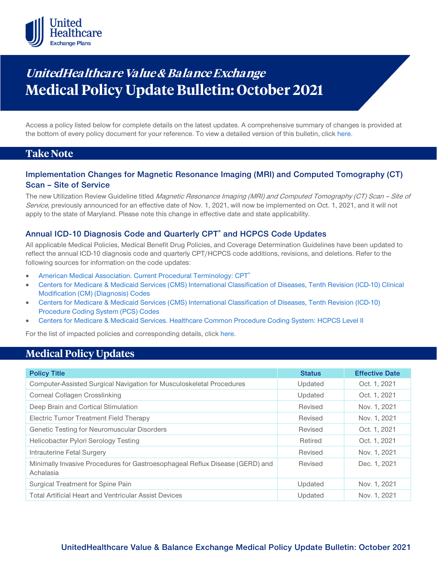

# **UnitedHealthcare Value & Balance Exchange Medical Policy Update Bulletin: October 2021**

Access a policy listed below for complete details on the latest updates. A comprehensive summary of changes is provided at the bottom of every policy document for your reference. To view a detailed version of this bulletin, clic[k here.](https://www.uhcprovider.com/content/dam/provider/docs/public/policies/mpub-archives/exchange/exchange-medical-policy-update-bulletin-october-2021-full.pdf)

### **Take Note**

### **Implementation Changes for Magnetic Resonance Imaging (MRI) and Computed Tomography (CT) Scan – Site of Service**

The new Utilization Review Guideline titled Magnetic Resonance Imaging (MRI) and Computed Tomography (CT) Scan - Site of Service, previously announced for an effective date of Nov. 1, 2021, will now be implemented on Oct. 1, 2021, and it will not apply to the state of Maryland. Please note this change in effective date and state applicability.

### **Annual ICD-10 Diagnosis Code and Quarterly CPT® and HCPCS Code Updates**

All applicable Medical Policies, Medical Benefit Drug Policies, and Coverage Determination Guidelines have been updated to reflect the annual ICD-10 diagnosis code and quarterly CPT/HCPCS code additions, revisions, and deletions. Refer to the following sources for information on the code updates:

- American Medical Association. Current Procedural Terminology: CPT<sup>®</sup>
- [Centers for Medicare & Medicaid Services \(CMS\) International Classification of Diseases, Tenth Revision \(ICD-10\) Clinical](https://www.cms.gov/medicare/icd-10/2021-icd-10-cm)  [Modification \(CM\) \(Diagnosis\) Codes](https://www.cms.gov/medicare/icd-10/2021-icd-10-cm)
- [Centers for Medicare & Medicaid Services \(CMS\) International Classification of Diseases, Tenth Revision \(ICD-10\)](https://www.cms.gov/medicare/icd-10/2021-icd-10-pcs)  [Procedure Coding System \(PCS\) Codes](https://www.cms.gov/medicare/icd-10/2021-icd-10-pcs)
- [Centers for Medicare & Medicaid Services. Healthcare Common Procedure Coding](https://www.cms.gov/Medicare/Coding/MedHCPCSGenInfo/index.html) System: HCPCS Level II

For the list of impacted policies and corresponding details, click [here.](https://www.uhcprovider.com/content/dam/provider/docs/public/policies/mpub-archives/exchange/exchange-medical-policy-update-bulletin-october-2021-full.pdf)

### **Medical Policy Updates**

| <b>Policy Title</b>                                                                       | <b>Status</b> | <b>Effective Date</b> |
|-------------------------------------------------------------------------------------------|---------------|-----------------------|
| Computer-Assisted Surgical Navigation for Musculoskeletal Procedures                      | Updated       | Oct. 1, 2021          |
| Corneal Collagen Crosslinking                                                             | Updated       | Oct. 1, 2021          |
| Deep Brain and Cortical Stimulation                                                       | Revised       | Nov. 1, 2021          |
| Electric Tumor Treatment Field Therapy                                                    | Revised       | Nov. 1, 2021          |
| Genetic Testing for Neuromuscular Disorders                                               | Revised       | Oct. 1, 2021          |
| Helicobacter Pylori Serology Testing                                                      | Retired       | Oct. 1, 2021          |
| Intrauterine Fetal Surgery                                                                | Revised       | Nov. 1, 2021          |
| Minimally Invasive Procedures for Gastroesophageal Reflux Disease (GERD) and<br>Achalasia | Revised       | Dec. 1, 2021          |
| Surgical Treatment for Spine Pain                                                         | Updated       | Nov. 1, 2021          |
| <b>Total Artificial Heart and Ventricular Assist Devices</b>                              | Updated       | Nov. 1, 2021          |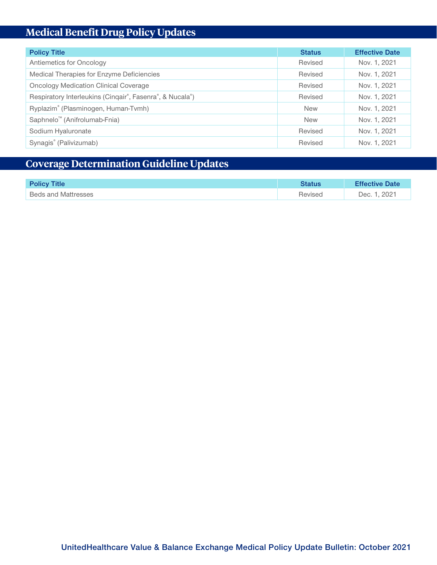## **Medical Benefit Drug Policy Updates**

| <b>Policy Title</b>                                      | <b>Status</b> | <b>Effective Date</b> |
|----------------------------------------------------------|---------------|-----------------------|
| Antiemetics for Oncology                                 | Revised       | Nov. 1, 2021          |
| Medical Therapies for Enzyme Deficiencies                | Revised       | Nov. 1, 2021          |
| <b>Oncology Medication Clinical Coverage</b>             | Revised       | Nov. 1, 2021          |
| Respiratory Interleukins (Cinqair®, Fasenra®, & Nucala®) | Revised       | Nov. 1, 2021          |
| Ryplazim® (Plasminogen, Human-Tvmh)                      | <b>New</b>    | Nov. 1, 2021          |
| Saphnelo <sup>™</sup> (Anifrolumab-Fnia)                 | <b>New</b>    | Nov. 1, 2021          |
| Sodium Hyaluronate                                       | Revised       | Nov. 1, 2021          |
| Synagis® (Palivizumab)                                   | Revised       | Nov. 1, 2021          |

## **Coverage Determination Guideline Updates**

| <b>Policy Title</b>        | Status  | <b>Effective Date</b> |
|----------------------------|---------|-----------------------|
| <b>Beds and Mattresses</b> | Revised | Dec. 1, 2021          |